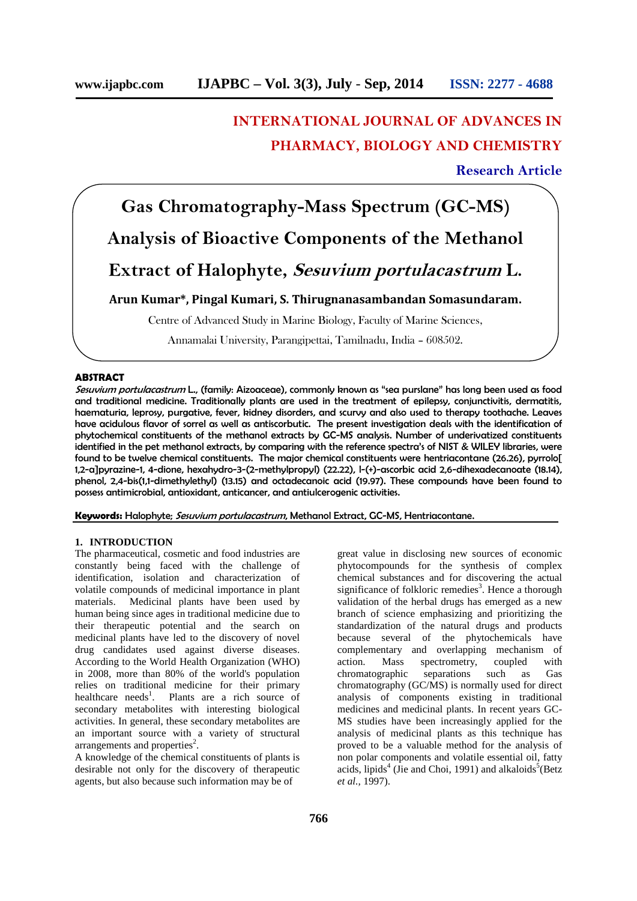## **INTERNATIONAL JOURNAL OF ADVANCES IN PHARMACY, BIOLOGY AND CHEMISTRY**

### **Research Article**

# **Gas Chromatography-Mass Spectrum (GC-MS)**

## **Analysis of Bioactive Components of the Methanol**

### **Extract of Halophyte,** *Sesuvium portulacastrum* **L.**

**Arun Kumar\*, Pingal Kumari, S. Thirugnanasambandan Somasundaram.**

Centre of Advanced Study in Marine Biology, Faculty of Marine Sciences,

Annamalai University, Parangipettai, Tamilnadu, India – 608502.

#### **ABSTRACT**

*Sesuvium portulacastrum* L., (family: Aizoaceae), commonly known as "sea purslane" has long been used as food and traditional medicine. Traditionally plants are used in the treatment of epilepsy, conjunctivitis, dermatitis, haematuria, leprosy, purgative, fever, kidney disorders, and scurvy and also used to therapy toothache. Leaves have acidulous flavor of sorrel as well as antiscorbutic. The present investigation deals with the identification of phytochemical constituents of the methanol extracts by GC-MS analysis. Number of underivatized constituents identified in the pet methanol extracts, by comparing with the reference spectra's of NIST & WILEY libraries, were found to be twelve chemical constituents. The major chemical constituents were hentriacontane (26.26), pyrrolo[ 1,2-a]pyrazine-1, 4-dione, hexahydro-3-(2-methylpropyl) (22.22), l-(+)-ascorbic acid 2,6-dihexadecanoate (18.14), phenol, 2,4-bis(1,1-dimethylethyl) (13.15) and octadecanoic acid (19.97). These compounds have been found to possess antimicrobial, antioxidant, anticancer, and antiulcerogenic activities.

**Keywords:** Halophyte; *Sesuvium portulacastrum*, Methanol Extract, GC-MS, Hentriacontane.

### **1. INTRODUCTION**

The pharmaceutical, cosmetic and food industries are constantly being faced with the challenge of identification, isolation and characterization of volatile compounds of medicinal importance in plant materials. Medicinal plants have been used by human being since ages in traditional medicine due to their therapeutic potential and the search on medicinal plants have led to the discovery of novel drug candidates used against diverse diseases. According to the World Health Organization (WHO) in 2008, more than 80% of the world's population relies on traditional medicine for their primary healthcare needs<sup>1</sup>. Plants are a rich source of secondary metabolites with interesting biological activities. In general, these secondary metabolites are an important source with a variety of structural  $\arctan$  arrangements and properties<sup>2</sup>.

A knowledge of the chemical constituents of plants is desirable not only for the discovery of therapeutic agents, but also because such information may be of

great value in disclosing new sources of economic phytocompounds for the synthesis of complex chemical substances and for discovering the actual significance of folkloric remedies<sup>3</sup>. Hence a thorough validation of the herbal drugs has emerged as a new branch of science emphasizing and prioritizing the standardization of the natural drugs and products because several of the phytochemicals have complementary and overlapping mechanism of action. Mass spectrometry, coupled with chromatographic separations such as Gas chromatography (GC/MS) is normally used for direct analysis of components existing in traditional medicines and medicinal plants. In recent years GC- MS studies have been increasingly applied for the analysis of medicinal plants as this technique has proved to be a valuable method for the analysis of non polar components and volatile essential oil, fatty acids, lipids<sup>4</sup> (Jie and Choi, 1991) and alkaloids<sup>5</sup> (Betz *et al.,* 1997).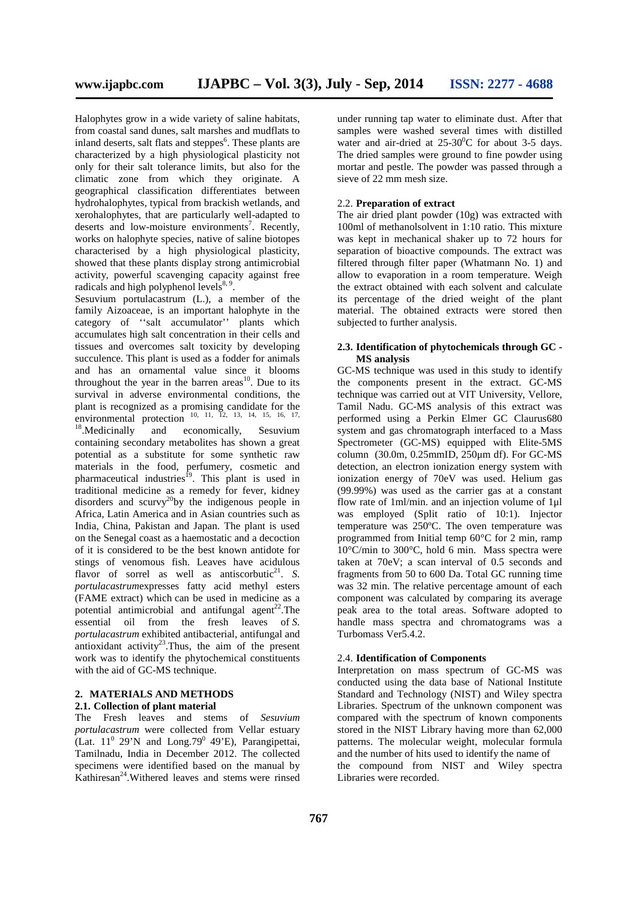Halophytes grow in a wide variety of saline habitats, from coastal sand dunes, salt marshes and mudflats to inland deserts, salt flats and steppes<sup>6</sup>. These plants are characterized by a high physiological plasticity not only for their salt tolerance limits, but also for the climatic zone from which they originate. A geographical classification differentiates between hydrohalophytes, typical from brackish wetlands, and xerohalophytes, that are particularly well-adapted to deserts and low-moisture environments<sup>7</sup>. Recently, works on halophyte species, native of saline biotopes characterised by a high physiological plasticity, showed that these plants display strong antimicrobial activity, powerful scavenging capacity against free radicals and high polyphenol levels $8, 9$ .

Sesuvium portulacastrum (L.), a member of the family Aizoaceae, is an important halophyte in the category of ''salt accumulator'' plants which accumulates high salt concentration in their cells and tissues and overcomes salt toxicity by developing succulence. This plant is used as a fodder for animals and has an ornamental value since it blooms throughout the year in the barren areas<sup>10</sup>. Due to its survival in adverse environmental conditions, the plant is recognized as a promising candidate for the environmental protection  $10, 11, 12, 13, 14, 15, 16, 17,$ <br> $18$  Modicinelly and componically Sequence

 $18$ . Medicinally and economically, Sesuvium containing secondary metabolites has shown a great potential as a substitute for some synthetic raw materials in the food, perfumery, cosmetic and pharmaceutical industries<sup>19</sup>. This plant is used in traditional medicine as a remedy for fever, kidney disorders and scurvy<sup>20</sup>by the indigenous people in Africa, Latin America and in Asian countries such as India, China, Pakistan and Japan. The plant is used on the Senegal coast as a haemostatic and a decoction of it is considered to be the best known antidote for stings of venomous fish. Leaves have acidulous flavor of sorrel as well as antiscorbutic<sup>21</sup>. S. *portulacastrum*expresses fatty acid methyl esters (FAME extract) which can be used in medicine as a potential antimicrobial and antifungal agent<sup>22</sup>. The essential oil from the fresh leaves of *S. portulacastrum* exhibited antibacterial, antifungal and antioxidant activity<sup>23</sup>. Thus, the aim of the present work was to identify the phytochemical constituents with the aid of GC-MS technique.

#### **2. MATERIALS AND METHODS 2.1. Collection of plant material**

The Fresh leaves and stems of *Sesuvium portulacastrum* were collected from Vellar estuary (Lat.  $11^0$  29'N and Long.79<sup>0</sup> 49'E), Parangipettai, Tamilnadu, India in December 2012. The collected specimens were identified based on the manual by Kathiresan<sup>24</sup>. Withered leaves and stems were rinsed

under running tap water to eliminate dust. After that samples were washed several times with distilled water and air-dried at  $25{\text -}30^0$ C for about 3-5 days. The dried samples were ground to fine powder using mortar and pestle. The powder was passed through a sieve of 22 mm mesh size.

#### 2.2. **Preparation of extract**

The air dried plant powder (10g) was extracted with 100ml of methanolsolvent in 1:10 ratio. This mixture was kept in mechanical shaker up to 72 hours for separation of bioactive compounds. The extract was filtered through filter paper (Whatmann No. 1) and allow to evaporation in a room temperature. Weigh the extract obtained with each solvent and calculate its percentage of the dried weight of the plant material. The obtained extracts were stored then subjected to further analysis.

#### **2.3. Identification of phytochemicals through GC - MS analysis**

GC-MS technique was used in this study to identify the components present in the extract. GC-MS technique was carried out at VIT University, Vellore, Tamil Nadu. GC-MS analysis of this extract was performed using a Perkin Elmer GC Claurus680 system and gas chromatograph interfaced to a Mass Spectrometer (GC-MS) equipped with Elite-5MS column (30.0m, 0.25mmID, 250μm df). For GC-MS detection, an electron ionization energy system with ionization energy of 70eV was used. Helium gas (99.99%) was used as the carrier gas at a constant flow rate of 1ml/min. and an injection volume of 1ul was employed (Split ratio of 10:1). Injector temperature was 250ºC. The oven temperature was programmed from Initial temp 60°C for 2 min, ramp 10°C/min to 300°C, hold 6 min. Mass spectra were taken at 70eV; a scan interval of 0.5 seconds and fragments from 50 to 600 Da. Total GC running time was 32 min. The relative percentage amount of each component was calculated by comparing its average peak area to the total areas. Software adopted to handle mass spectra and chromatograms was a Turbomass Ver5.4.2.

#### 2.4. **Identification of Components**

Interpretation on mass spectrum of GC-MS was conducted using the data base of National Institute Standard and Technology (NIST) and Wiley spectra Libraries. Spectrum of the unknown component was compared with the spectrum of known components stored in the NIST Library having more than 62,000 patterns. The molecular weight, molecular formula and the number of hits used to identify the name of the compound from NIST and Wiley spectra Libraries were recorded.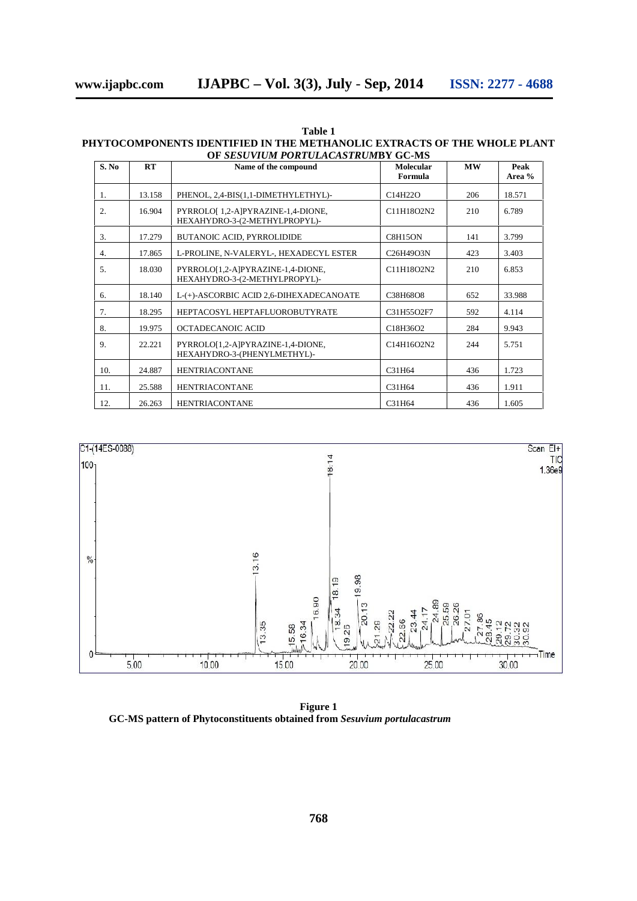| Table 1                                                                  |
|--------------------------------------------------------------------------|
| PHYTOCOMPONENTS IDENTIFIED IN THE METHANOLIC EXTRACTS OF THE WHOLE PLANT |
| OF SESUVIUM PORTULACASTRUMBY GC-MS                                       |

| S. No | RT     | Name of the compound                                               | <b>Molecular</b><br>Formula | <b>MW</b> | Peak<br>Area % |
|-------|--------|--------------------------------------------------------------------|-----------------------------|-----------|----------------|
| 1.    | 13.158 | PHENOL, 2,4-BIS(1,1-DIMETHYLETHYL)-                                | C14H22O                     | 206       | 18.571         |
| 2.    | 16.904 | PYRROLO[1,2-A]PYRAZINE-1,4-DIONE,<br>HEXAHYDRO-3-(2-METHYLPROPYL)- | C11H18O2N2                  | 210       | 6.789          |
| 3.    | 17.279 | <b>BUTANOIC ACID, PYRROLIDIDE</b>                                  | C8H15ON                     | 141       | 3.799          |
| 4.    | 17.865 | L-PROLINE, N-VALERYL-, HEXADECYL ESTER                             | C26H49O3N                   | 423       | 3.403          |
| 5.    | 18.030 | PYRROLO[1,2-A]PYRAZINE-1,4-DIONE,<br>HEXAHYDRO-3-(2-METHYLPROPYL)- | C11H18O2N2                  | 210       | 6.853          |
| 6.    | 18.140 | L-(+)-ASCORBIC ACID 2,6-DIHEXADECANOATE                            | C38H68O8                    | 652       | 33.988         |
| 7.    | 18.295 | HEPTACOSYL HEPTAFLUOROBUTYRATE                                     | C31H55O2F7                  | 592       | 4.114          |
| 8.    | 19.975 | OCTADECANOIC ACID                                                  | C18H36O2                    | 284       | 9.943          |
| 9.    | 22.221 | PYRROLO[1,2-A]PYRAZINE-1,4-DIONE,<br>HEXAHYDRO-3-(PHENYLMETHYL)-   | C14H16O2N2                  | 244       | 5.751          |
| 10.   | 24.887 | <b>HENTRIACONTANE</b>                                              | C31H64                      | 436       | 1.723          |
| 11.   | 25.588 | <b>HENTRIACONTANE</b>                                              | C31H64                      | 436       | 1.911          |
| 12.   | 26.263 | <b>HENTRIACONTANE</b>                                              | C31H64                      | 436       | 1.605          |



**Figure 1 GC-MS pattern of Phytoconstituents obtained from** *Sesuvium portulacastrum*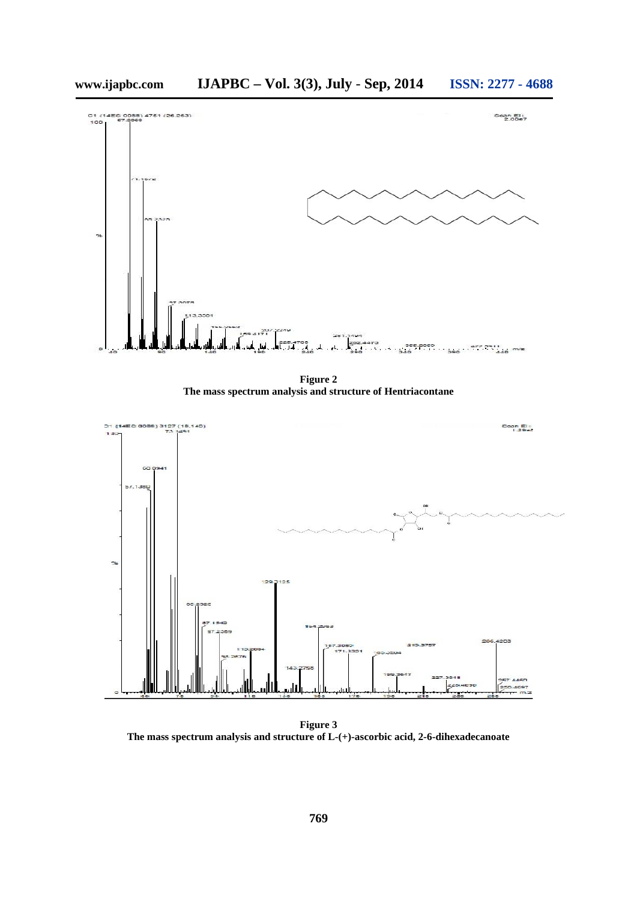

**Figure 2 The mass spectrum analysis and structure of Hentriacontane**



**Figure 3 The mass spectrum analysis and structure of L-(+)-ascorbic acid, 2-6-dihexadecanoate**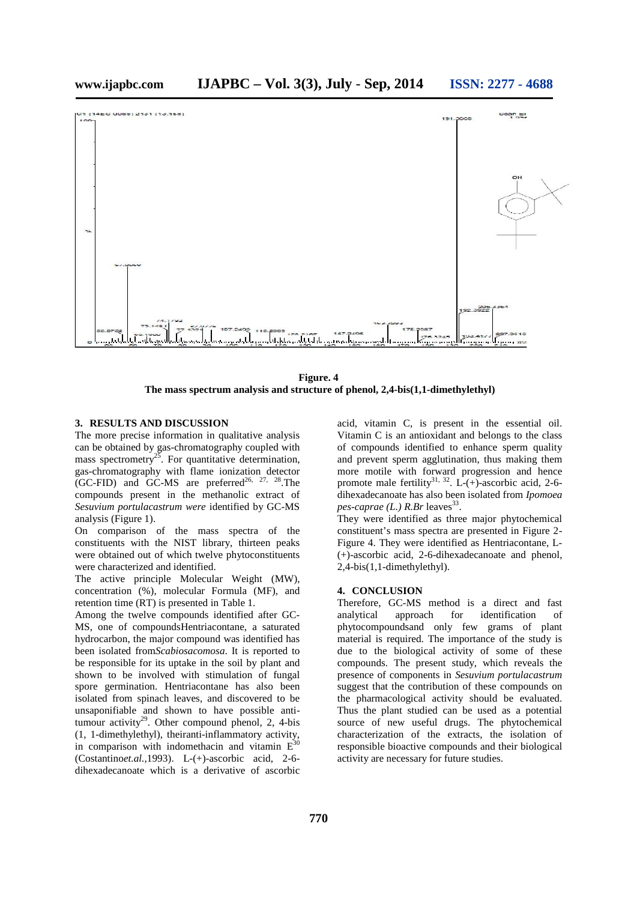

**Figure. 4 The mass spectrum analysis and structure of phenol, 2,4-bis(1,1-dimethylethyl)**

#### **3. RESULTS AND DISCUSSION**

The more precise information in qualitative analysis can be obtained by gas-chromatography coupled with mass spectrometry<sup>25</sup>. For quantitative determination, gas-chromatography with flame ionization detector (GC-FID) and GC-MS are preferred<sup>26, 27, 28</sup>. The compounds present in the methanolic extract of *Sesuvium portulacastrum were* identified by GC-MS analysis (Figure 1).

On comparison of the mass spectra of the constituents with the NIST library, thirteen peaks were obtained out of which twelve phytoconstituents were characterized and identified.

The active principle Molecular Weight (MW), concentration (%), molecular Formula (MF), and retention time (RT) is presented in Table 1.

Among the twelve compounds identified after GC- MS, one of compoundsHentriacontane, a saturated hydrocarbon, the major compound was identified has been isolated from*Scabiosacomosa*. It is reported to be responsible for its uptake in the soil by plant and shown to be involved with stimulation of fungal spore germination. Hentriacontane has also been isolated from spinach leaves, and discovered to be unsaponifiable and shown to have possible antitumour activity<sup>29</sup>. Other compound phenol, 2, 4-bis (1, 1-dimethylethyl), theiranti-inflammatory activity, in comparison with indomethacin and vitamin  $E^{30}$ (Costantino*et.al.,*1993). L-(+)-ascorbic acid, 2-6 dihexadecanoate which is a derivative of ascorbic

acid, vitamin C, is present in the essential oil. Vitamin C is an antioxidant and belongs to the class of compounds identified to enhance sperm quality and prevent sperm agglutination, thus making them more motile with forward progression and hence promote male fertility<sup>31, 32</sup>. L-(+)-ascorbic acid, 2-6dihexadecanoate has also been isolated from *Ipomoea pes-caprae (L.) R.Br* leaves<sup>33</sup>.

They were identified as three major phytochemical constituent's mass spectra are presented in Figure 2- Figure 4. They were identified as Hentriacontane, L- (+)-ascorbic acid, 2-6-dihexadecanoate and phenol, 2,4-bis(1,1-dimethylethyl).

#### **4. CONCLUSION**

Therefore, GC-MS method is a direct and fast analytical approach for identification of phytocompoundsand only few grams of plant material is required. The importance of the study is due to the biological activity of some of these compounds. The present study, which reveals the presence of components in *Sesuvium portulacastrum* suggest that the contribution of these compounds on the pharmacological activity should be evaluated. Thus the plant studied can be used as a potential source of new useful drugs. The phytochemical characterization of the extracts, the isolation of responsible bioactive compounds and their biological activity are necessary for future studies.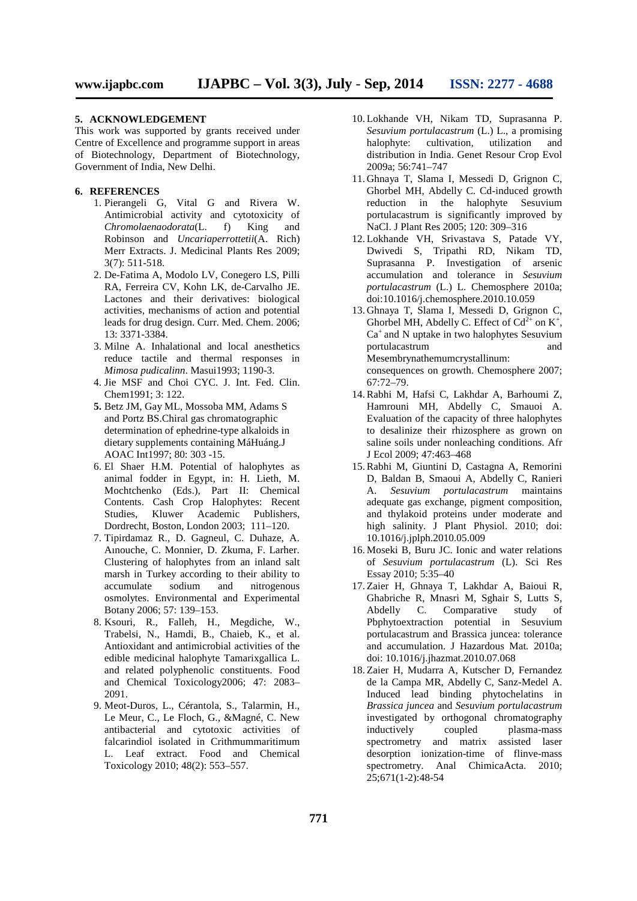#### **5. ACKNOWLEDGEMENT**

This work was supported by grants received under Centre of Excellence and programme support in areas of Biotechnology, Department of Biotechnology, Government of India, New Delhi.

#### **6. REFERENCES**

- 1. Pierangeli G, Vital G and Rivera W. Antimicrobial activity and cytotoxicity of *Chromolaenaodorata*(L. f) King and Robinson and *Uncariaperrottetii*(A. Rich) Merr Extracts. J. Medicinal Plants Res 2009; 3(7): 511-518.
- 2. De-Fatima A, Modolo LV, Conegero LS, Pilli RA, Ferreira CV, Kohn LK, de-Carvalho JE. Lactones and their derivatives: biological activities, mechanisms of action and potential leads for drug design. Curr. Med. Chem. 2006; 13: 3371-3384.
- 3. Milne A. Inhalational and local anesthetics reduce tactile and thermal responses in *Mimosa pudicalinn*. Masui1993; 1190-3.
- 4. Jie MSF and Choi CYC. J. Int. Fed. Clin. Chem1991; 3: 122.
- **5.** Betz JM, Gay ML, Mossoba MM, Adams S and Portz BS.Chiral gas chromatographic determination of ephedrine-type alkaloids in dietary supplements containing MáHuáng.J AOAC Int1997; 80: 303 -15.<br>6. El Shaer H.M. Potential of halophytes as
- animal fodder in Egypt, in: H. Lieth, M. Mochtchenko (Eds.), Part II: Chemical Contents. Cash Crop Halophytes: Recent Studies, Kluwer Academic Publishers, Dordrecht, Boston, London 2003; 111–120.
- 7. Tipirdamaz R., D. Gagneul, C. Duhaze, A. Aınouche, C. Monnier, D. Zkuma, F. Larher. Clustering of halophytes from an inland salt marsh in Turkey according to their ability to accumulate sodium and nitrogenous osmolytes. Environmental and Experimental Botany 2006; 57: 139–153.
- 8. Ksouri, R., Falleh, H., Megdiche, W., Trabelsi, N., Hamdi, B., Chaieb, K., et al. Antioxidant and antimicrobial activities of the edible medicinal halophyte Tamarixgallica L. and related polyphenolic constituents. Food and Chemical Toxicology2006; 47: 2083– 2091.
- 9. Meot-Duros, L., Cérantola, S., Talarmin, H., Le Meur, C., Le Floch, G., &Magné, C. New antibacterial and cytotoxic activities of falcarindiol isolated in Crithmummaritimum L. Leaf extract. Food and Chemical Toxicology 2010; 48(2): 553–557.
- 10. Lokhande VH, Nikam TD, Suprasanna P. *Sesuvium portulacastrum* (L.) L., a promising halophyte: cultivation, utilization and distribution in India. Genet Resour Crop Evol 2009a; 56:741–747
- 11. Ghnaya T, Slama I, Messedi D, Grignon C, Ghorbel MH, Abdelly C. Cd-induced growth reduction in the halophyte Sesuvium portulacastrum is significantly improved by NaCl. J Plant Res 2005; 120: 309–316
- 12. Lokhande VH, Srivastava S, Patade VY, Dwivedi S, Tripathi RD, Nikam TD, Suprasanna P. Investigation of arsenic accumulation and tolerance in *Sesuvium portulacastrum* (L.) L. Chemosphere 2010a; doi:10.1016/j.chemosphere.2010.10.059
- 13. Ghnaya T, Slama I, Messedi D, Grignon C, Ghorbel MH, Abdelly C. Effect of  $Cd^{2+}$  on  $K^+$ ,  $Ca<sup>+</sup>$  and N uptake in two halophytes Sesuvium portulacastrum and Mesembrynathemumcrystallinum: consequences on growth. Chemosphere 2007; 67:72–79.
- 14.Rabhi M, Hafsi C, Lakhdar A, Barhoumi Z, Hamrouni MH, Abdelly C, Smauoi A. Evaluation of the capacity of three halophytes to desalinize their rhizosphere as grown on saline soils under nonleaching conditions. Afr J Ecol 2009; 47:463–468
- 15.Rabhi M, Giuntini D, Castagna A, Remorini D, Baldan B, Smaoui A, Abdelly C, Ranieri A. *Sesuvium portulacastrum* maintains adequate gas exchange, pigment composition, and thylakoid proteins under moderate and high salinity. J Plant Physiol. 2010; doi: 10.1016/j.jplph.2010.05.009
- 16. Moseki B, Buru JC. Ionic and water relations of *Sesuvium portulacastrum* (L). Sci Res Essay 2010; 5:35–40
- 17. Zaier H, Ghnaya T, Lakhdar A, Baioui R, Ghabriche R, Mnasri M, Sghair S, Lutts S, Abdelly C. Comparative study of Pbphytoextraction potential in Sesuvium portulacastrum and Brassica juncea: tolerance and accumulation. J Hazardous Mat*.* 2010a; doi: 10.1016/j.jhazmat.2010.07.068
- 18. Zaier H, Mudarra A, Kutscher D, Fernandez de la Campa MR, Abdelly C, Sanz-Medel A. Induced lead binding phytochelatins in *Brassica juncea* and *Sesuvium portulacastrum* investigated by orthogonal chromatography inductively coupled plasma-mass spectrometry and matrix assisted laser desorption ionization-time of flinve-mass spectrometry. Anal ChimicaActa. 2010; 25;671(1-2):48-54